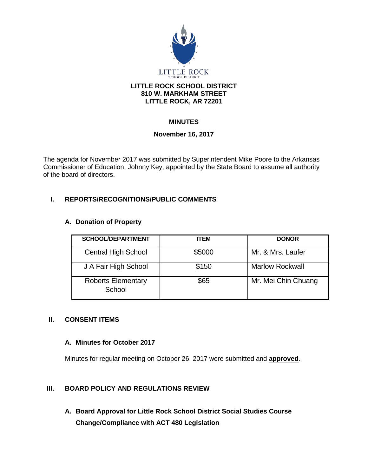

### **LITTLE ROCK SCHOOL DISTRICT 810 W. MARKHAM STREET LITTLE ROCK, AR 72201**

# **MINUTES**

## **November 16, 2017**

The agenda for November 2017 was submitted by Superintendent Mike Poore to the Arkansas Commissioner of Education, Johnny Key, appointed by the State Board to assume all authority of the board of directors.

## **I. REPORTS/RECOGNITIONS/PUBLIC COMMENTS**

### **A. Donation of Property**

| <b>SCHOOL/DEPARTMENT</b>            | <b>ITEM</b> | <b>DONOR</b>           |
|-------------------------------------|-------------|------------------------|
| <b>Central High School</b>          | \$5000      | Mr. & Mrs. Laufer      |
| J A Fair High School                | \$150       | <b>Marlow Rockwall</b> |
| <b>Roberts Elementary</b><br>School | \$65        | Mr. Mei Chin Chuang    |

### **II. CONSENT ITEMS**

### **A. Minutes for October 2017**

Minutes for regular meeting on October 26, 2017 were submitted and **approved**.

## **III. BOARD POLICY AND REGULATIONS REVIEW**

**A. Board Approval for Little Rock School District Social Studies Course Change/Compliance with ACT 480 Legislation**